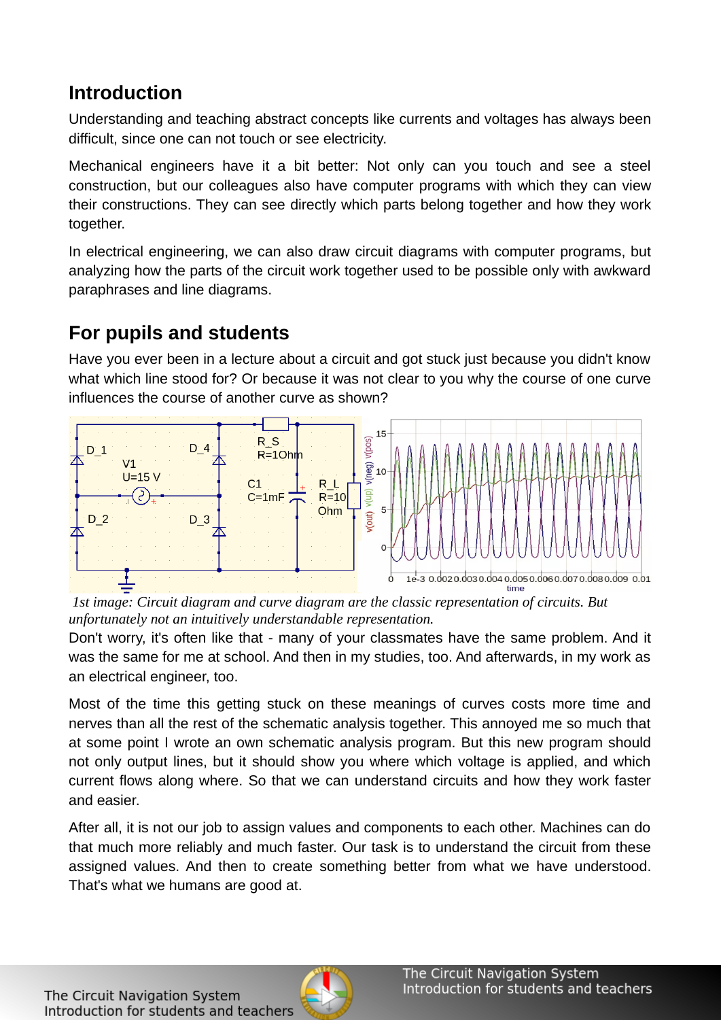### **Introduction**

Understanding and teaching abstract concepts like currents and voltages has always been difficult, since one can not touch or see electricity.

Mechanical engineers have it a bit better: Not only can you touch and see a steel construction, but our colleagues also have computer programs with which they can view their constructions. They can see directly which parts belong together and how they work together.

In electrical engineering, we can also draw circuit diagrams with computer programs, but analyzing how the parts of the circuit work together used to be possible only with awkward paraphrases and line diagrams.

## **For pupils and students**

Have you ever been in a lecture about a circuit and got stuck just because you didn't know what which line stood for? Or because it was not clear to you why the course of one curve influences the course of another curve as shown?



*1st image: Circuit diagram and curve diagram are the classic representation of circuits. But unfortunately not an intuitively understandable representation.*

Don't worry, it's often like that - many of your classmates have the same problem. And it was the same for me at school. And then in my studies, too. And afterwards, in my work as an electrical engineer, too.

Most of the time this getting stuck on these meanings of curves costs more time and nerves than all the rest of the schematic analysis together. This annoyed me so much that at some point I wrote an own schematic analysis program. But this new program should not only output lines, but it should show you where which voltage is applied, and which current flows along where. So that we can understand circuits and how they work faster and easier.

After all, it is not our job to assign values and components to each other. Machines can do that much more reliably and much faster. Our task is to understand the circuit from these assigned values. And then to create something better from what we have understood. That's what we humans are good at.

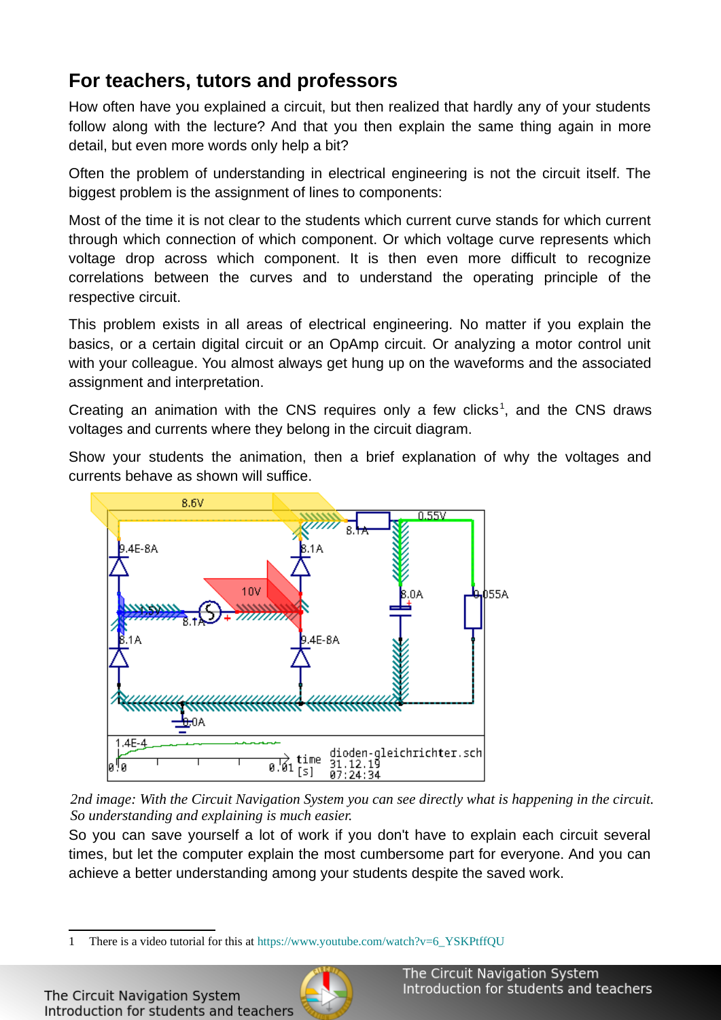## **For teachers, tutors and professors**

How often have you explained a circuit, but then realized that hardly any of your students follow along with the lecture? And that you then explain the same thing again in more detail, but even more words only help a bit?

Often the problem of understanding in electrical engineering is not the circuit itself. The biggest problem is the assignment of lines to components:

Most of the time it is not clear to the students which current curve stands for which current through which connection of which component. Or which voltage curve represents which voltage drop across which component. It is then even more difficult to recognize correlations between the curves and to understand the operating principle of the respective circuit.

This problem exists in all areas of electrical engineering. No matter if you explain the basics, or a certain digital circuit or an OpAmp circuit. Or analyzing a motor control unit with your colleague. You almost always get hung up on the waveforms and the associated assignment and interpretation.

Creating an animation with the CNS requires only a few clicks<sup>[1](#page-1-0)</sup>, and the CNS draws voltages and currents where they belong in the circuit diagram.

Show your students the animation, then a brief explanation of why the voltages and currents behave as shown will suffice.



*2nd image: With the Circuit Navigation System you can see directly what is happening in the circuit. So understanding and explaining is much easier.* 

So you can save yourself a lot of work if you don't have to explain each circuit several times, but let the computer explain the most cumbersome part for everyone. And you can achieve a better understanding among your students despite the saved work.



<span id="page-1-0"></span><sup>1</sup> There is a video tutorial for this at [https://www.youtube.com/watch?v=6\\_YSKPtffQU](https://www.youtube.com/watch?v=6_YSKPtffQU)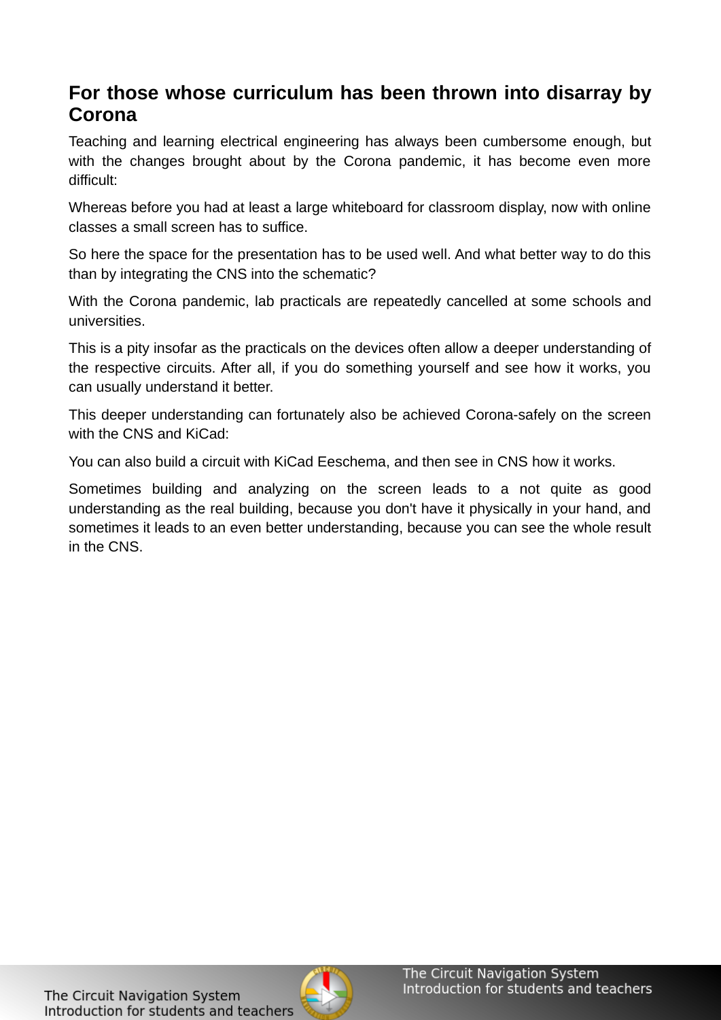#### **For those whose curriculum has been thrown into disarray by Corona**

Teaching and learning electrical engineering has always been cumbersome enough, but with the changes brought about by the Corona pandemic, it has become even more difficult:

Whereas before you had at least a large whiteboard for classroom display, now with online classes a small screen has to suffice.

So here the space for the presentation has to be used well. And what better way to do this than by integrating the CNS into the schematic?

With the Corona pandemic, lab practicals are repeatedly cancelled at some schools and universities.

This is a pity insofar as the practicals on the devices often allow a deeper understanding of the respective circuits. After all, if you do something yourself and see how it works, you can usually understand it better.

This deeper understanding can fortunately also be achieved Corona-safely on the screen with the CNS and KiCad:

You can also build a circuit with KiCad Eeschema, and then see in CNS how it works.

Sometimes building and analyzing on the screen leads to a not quite as good understanding as the real building, because you don't have it physically in your hand, and sometimes it leads to an even better understanding, because you can see the whole result in the CNS.

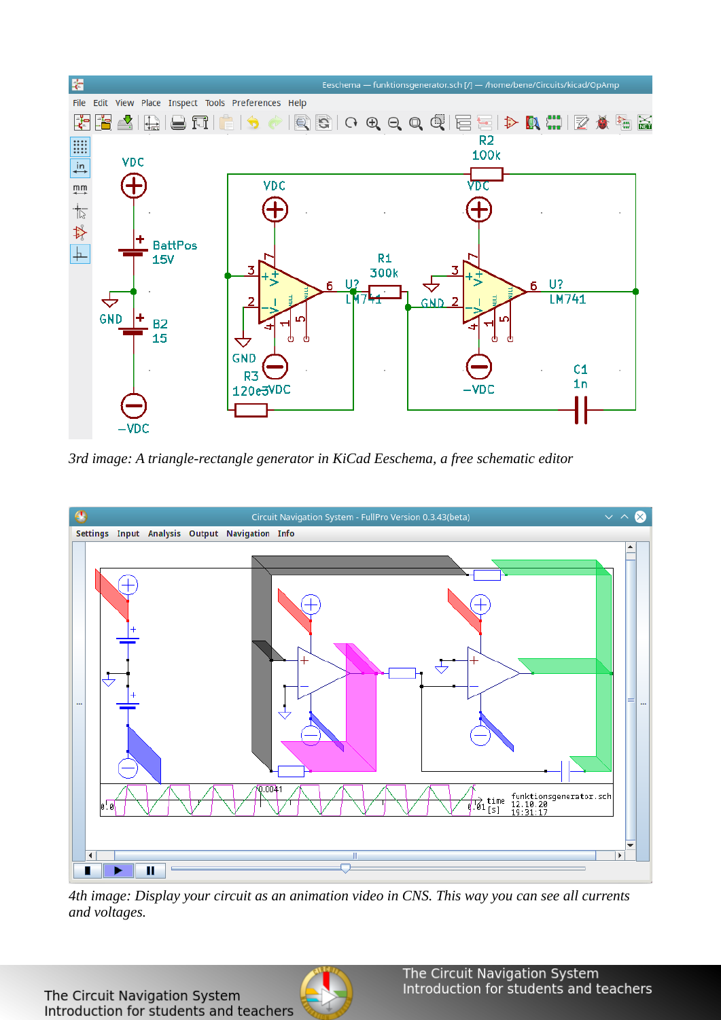

*3rd image: A triangle-rectangle generator in KiCad Eeschema, a free schematic editor*



*4th image: Display your circuit as an animation video in CNS. This way you can see all currents and voltages.*

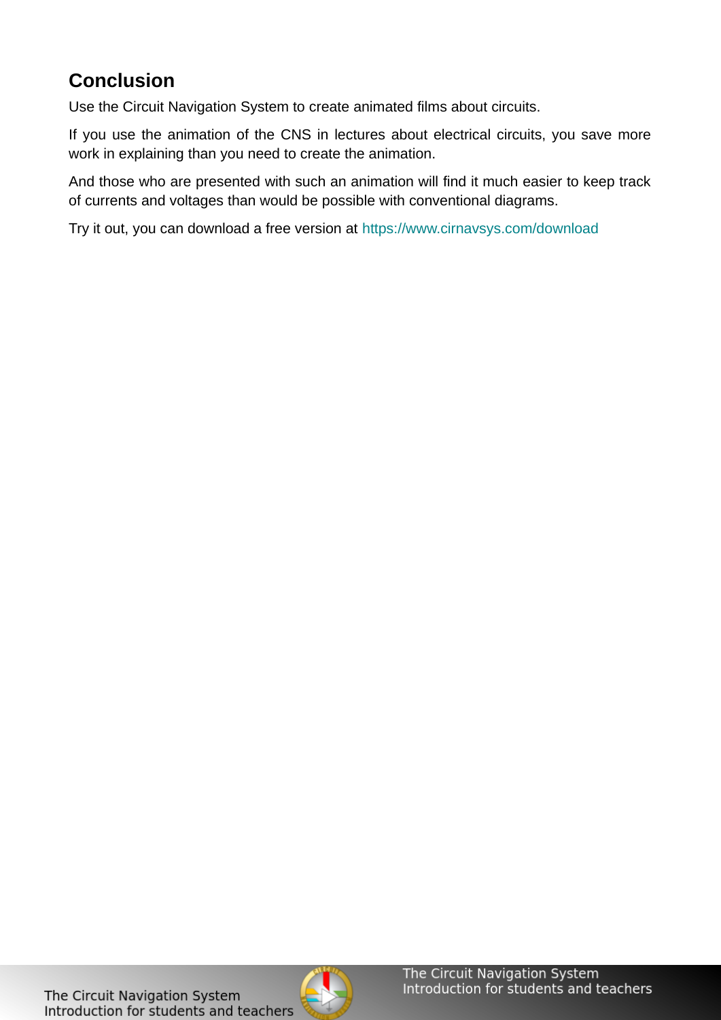## **Conclusion**

Use the Circuit Navigation System to create animated films about circuits.

If you use the animation of the CNS in lectures about electrical circuits, you save more work in explaining than you need to create the animation.

And those who are presented with such an animation will find it much easier to keep track of currents and voltages than would be possible with conventional diagrams.

Try it out, you can download a free version at<https://www.cirnavsys.com/download>